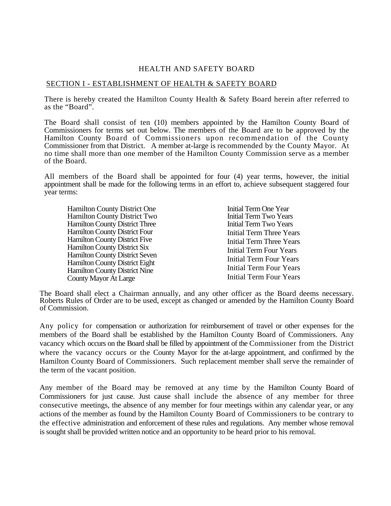### HEALTH AND SAFETY BOARD

#### SECTION I - ESTABLISHMENT OF HEALTH & SAFETY BOARD

There is hereby created the Hamilton County Health & Safety Board herein after referred to as the "Board".

The Board shall consist of ten (10) members appointed by the Hamilton County Board of Commissioners for terms set out below. The members of the Board are to be approved by the Hamilton County Board of Commissioners upon recommendation of the County Commissioner from that District. A member at-large is recommended by the County Mayor. At no time shall more than one member of the Hamilton County Commission serve as a member of the Board.

All members of the Board shall be appointed for four (4) year terms, however, the initial appointment shall be made for the following terms in an effort to, achieve subsequent staggered four year terms:

| <b>Hamilton County District One</b>   |
|---------------------------------------|
| Hamilton County District Two          |
| <b>Hamilton County District Three</b> |
| Hamilton County District Four         |
| Hamilton County District Five         |
| Hamilton County District Six          |
| <b>Hamilton County District Seven</b> |
| Hamilton County District Eight        |
| Hamilton County District Nine         |
| <b>County Mayor At Large</b>          |

Initial Term One Year Initial Term Two Years Initial Term Two Years Initial Term Three Years Initial Term Three Years Initial Term Four Years Initial Term Four Years Initial Term Four Years Initial Term Four Years

The Board shall elect a Chairman annually, and any other officer as the Board deems necessary. Roberts Rules of Order are to be used, except as changed or amended by the Hamilton County Board of Commission.

Any policy for compensation or authorization for reimbursement of travel or other expenses for the members of the Board shall be established by the Hamilton County Board of Commissioners. Any vacancy which occurs on the Board shall be filled by appointment of the Commissioner from the District where the vacancy occurs or the County Mayor for the at-large appointment, and confirmed by the Hamilton County Board of Commissioners. Such replacement member shall serve the remainder of the term of the vacant position.

Any member of the Board may be removed at any time by the Hamilton County Board of Commissioners for just cause. Just cause shall include the absence of any member for three consecutive meetings, the absence of any member for four meetings within any calendar year, or any actions of the member as found by the Hamilton County Board of Commissioners to be contrary to the effective administration and enforcement of these rules and regulations. Any member whose removal is sought shall be provided written notice and an opportunity to be heard prior to his removal.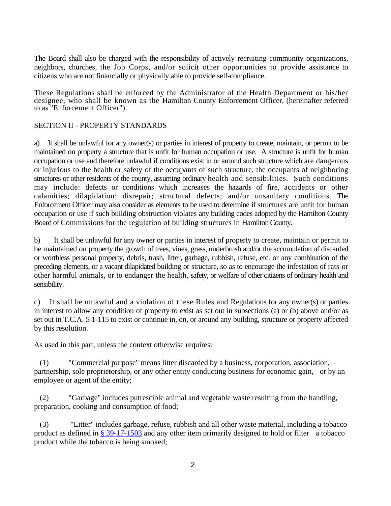The Board shall also be charged with the responsibility of actively recruiting community organizations, neighbors, churches, the Job Corps, and/or solicit other opportunities to provide assistance to citizens who are not financially or physically able to provide self-compliance.

These Regulations shall be enforced by the Administrator of the Health Department or his/her designee, who shall be known as the Hamilton County Enforcement Officer, (hereinafter referred to as "Enforcement Officer").

### SECTION II - PROPERTY STANDARDS

a) It shall be unlawful for any owner(s) or parties in interest of property to create, maintain, or permit to be maintained on property a structure that is unfit for human occupation or use. A structure is unfit for human occupation or use and therefore unlawful if conditions exist in or around such structure which are dangerous or injurious to the health or safety of the occupants of such structure, the occupants of neighboring structures or other residents of the county, assuming ordinary health and sensibilities. Such conditions may include: defects or conditions which increases the hazards of fire, accidents or other calamities; dilapidation; disrepair; structural defects; and/or unsanitary conditions. The Enforcement Officer may also consider as elements to be used to determine if structures are unfit for human occupation or use if such building obstruction violates any building codes adopted by the Hamilton County Board of Commissions for the regulation of building structures in Hamilton County.

b) It shall be unlawful for any owner or parties in interest of property to create, maintain or permit to be maintained on property the growth of trees, vines, grass, underbrush and/or the accumulation of discarded or worthless personal property, debris, trash, litter, garbage, rubbish, refuse, etc. or any combination of the preceding elements, or a vacant dilapidated building or structure, so as to encourage the infestation of rats or other harmful animals, or to endanger the health, safety, or welfare of other citizens of ordinary health and sensibility.

c) It shall be unlawful and a violation of these Rules and Regulations for any owner(s) or parties in interest to allow any condition of property to exist as set out in subsections (a) or (b) above and/or as set out in T.C.A. 5-1-115 to exist or continue in, on, or around any building, structure or property affected by this resolution.

As used in this part, unless the context otherwise requires*:* 

 (1) "Commercial purpose" means litter discarded by a business, corporation, association, partnership, sole proprietorship, or any other entity conducting business for economic gain, or by an employee or agent of the entity;

 (2) "Garbage" includes putrescible animal and vegetable waste resulting from the handling, preparation, cooking and consumption of food;

 (3) "Litter" includes garbage, refuse, rubbish and all other waste material, including a tobacco product as defined in § 39-17-1503 and any other item primarily designed to hold or filter a tobacco product while the tobacco is being smoked;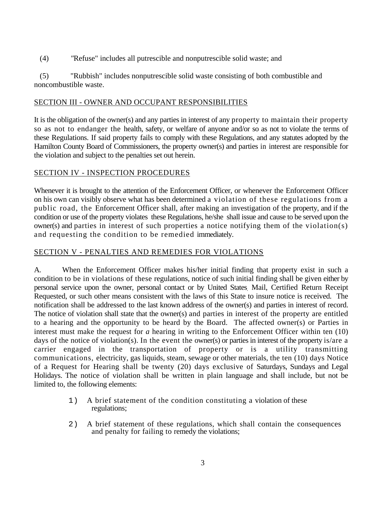(4) *"*Refuse" includes all putrescible and nonputrescible solid waste; and

 (5) "Rubbish" includes nonputrescible solid waste consisting of both combustible and noncombustible waste.

### SECTION III - OWNER AND OCCUPANT RESPONSIBILITIES

It is the obligation of the owner(s) and any parties in interest of any property to maintain their property so as not to endanger the health, safety, or welfare of anyone and/or so as not to violate the terms of these Regulations. If said property fails to comply with these Regulations, and any statutes adopted by the Hamilton County Board of Commissioners, the property owner(s) and parties in interest are responsible for the violation and subject to the penalties set out herein.

# SECTION IV - INSPECTION PROCEDURES

Whenever it is brought to the attention of the Enforcement Officer, or whenever the Enforcement Officer on his own can visibly observe what has been determined a violation of these regulations from a public road, the Enforcement Officer shall, after making an investigation of the property, and if the condition or use of the property violates these Regulations, he/sheshall issue and cause to be served upon the owner(s) and parties in interest of such properties a notice notifying them of the violation(s) and requesting the condition to be remedied immediately.

# SECTION V - PENALTIES AND REMEDIES FOR VIOLATIONS

A. When the Enforcement Officer makes his/her initial finding that property exist in such a condition to be in violations of these regulations, notice of such initial finding shall be given either by personal service upon the owner, personal contact or by United States. Mail, Certified Return Receipt Requested, or such other means consistent with the laws of this State to insure notice is received*.* The notification shall be addressed to the last known address of the owner(s) and parties in interest of record. The notice of violation shall state that the owner(s) and parties in interest of the property are entitled to a hearing and the opportunity to be heard by the Board. The affected owner(s) or Parties in interest must make the request for *a* hearing in writing to the Enforcement Officer within ten (10) days of the notice of violation(s). In the event the owner(s) or parties in interest of the property is/are a carrier engaged in the transportation of property or is a utility transmitting communications, electricity, gas liquids, steam, sewage or other materials, the ten (10) days Notice of a Request for Hearing shall be twenty (20) days exclusive of Saturdays, Sundays and Legal Holidays. The notice of violation shall be written in plain language and shall include, but not be limited to, the following elements:

- 1) A brief statement of the condition constituting a violation of these regulations;
- 2) A brief statement of these regulations, which shall contain the consequences and penalty for failing to remedy the violations;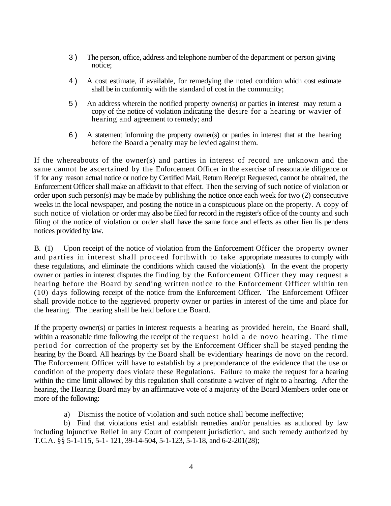- 3) The person, office, address and telephone number of the department or person giving notice;
- 4) A cost estimate, if available, for remedying the noted condition which cost estimate shall be in conformity with the standard of cost in the community;
- 5) An address wherein the notified property owner(s) or parties in interest may return a copy of the notice of violation indicating the desire for a hearing or wavier of hearing and agreement to remedy; and
- 6) A statement informing the property owner(s) or parties in interest that at the hearing before the Board a penalty may be levied against them.

If the whereabouts of the owner(s) and parties in interest of record are unknown and the same cannot be ascertained by the Enforcement Officer in the exercise of reasonable diligence or if for any reason actual notice or notice by Certified Mail, Return Receipt Requested, cannot be obtained, the Enforcement Officer shall make an affidavit to that effect. Then the serving of such notice of violation or order upon such person(s) may be made by publishing the notice once each week for two (2) consecutive weeks in the local newspaper, and posting the notice in a conspicuous place on the property. A copy of such notice of violation or order may also be filed for record in the register's office of the county and such filing of the notice of violation or order shall have the same force and effects as other lien lis pendens notices provided by law.

B. (1) Upon receipt of the notice of violation from the Enforcement Officer the property owner and parties in interest shall proceed forthwith to take appropriate measures to comply with these regulations, and eliminate the conditions which caused the violation(s). In the event the property owner or parties in interest disputes the finding by the Enforcement Officer they may request a hearing before the Board by sending written notice to the Enforcement Officer within ten (10) days following receipt of the notice from the Enforcement Officer. The Enforcement Officer shall provide notice to the aggrieved property owner or parties in interest of the time and place for the hearing. The hearing shall be held before the Board.

If the property owner(s) or parties in interest requests a hearing as provided herein, the Board shall, within a reasonable time following the receipt of the request hold a de novo hearing. The time period for correction of the property set by the Enforcement Officer shall be stayed pending the hearing by the Board. All hearings by the Board shall be evidentiary hearings de novo on the record. The Enforcement Officer will have to establish by a preponderance of the evidence that the use or condition of the property does violate these Regulations*.* Failure to make the request for a hearing within the time limit allowed by this regulation shall constitute a waiver of right to a hearing. After the hearing, the Hearing Board may by an affirmative vote of a majority of the Board Members order one or more of the following:

a) Dismiss the notice of violation and such notice shall become ineffective;

 b) Find that violations exist and establish remedies and/or penalties as authored by law including Injunctive Relief in any Court of competent jurisdiction, and such remedy authorized by T.C.A. §§ 5-1-115, 5-1- 121, 39-14-504, 5-1-123, 5-1-18, and 6-2-201(28);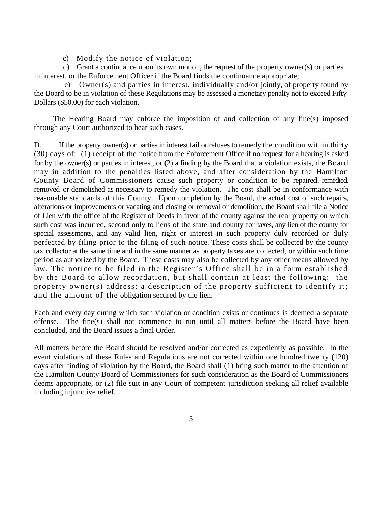c) Modify the notice of violation;

 d) Grant a continuance upon its own motion, the request of the property owner(s) or parties in interest, or the Enforcement Officer if the Board finds the continuance appropriate;

 e) Owner(s) and parties in interest, individually and/or jointly, of property found by the Board to be in violation of these Regulations may be assessed a monetary penalty not to exceed Fifty Dollars (\$50.00) for each violation.

 The Hearing Board may enforce the imposition of and collection of any fine(s) imposed through any Court authorized to hear such cases.

D. If the property owner(s) or parties in interest fail or refuses to remedy the condition within thirty (30) days of: (1) receipt of the notice from the Enforcement Office if no request for a hearing is asked for by the owner(s) or parties in interest, or (2) a finding by the Board that a violation exists, the Board may in addition to the penalties listed above, and after consideration by the Hamilton County Board of Commissioners cause such property or condition to be repaired, remedied, removed or demolished as necessary to remedy the violation. The cost shall be in conformance with reasonable standards of this County. Upon completion by the Board, the actual cost of such repairs, alterations or improvements or vacating and closing or removal or demolition, the Board shall file a Notice of Lien with the office of the Register of Deeds in favor of the county against the real property on which such cost was incurred, second only to liens of the state and county for taxes, any lien of the county for special assessments, and any valid lien, right or interest in such property duly recorded or duly perfected by filing prior to the filing of such notice. These costs shall be collected by the county tax collector at the same time and in the same manner as property taxes are collected, or within such time period as authorized by the Board. These costs may also be collected by any other means allowed by law. The notice to be filed in the Register's Office shall be in a form established by the Board to allow recordation, but shall contain at least the following: the property owner(s) address; a description of the property sufficient to identify it; and the amount of the obligation secured by the lien.

Each and every day during which such violation or condition exists or continues is deemed a separate offense. The fine(s) shall not commence to run until all matters before the Board have been concluded*,* and the Board issues a final Order.

All matters before the Board should be resolved and/or corrected as expediently as possible. In the event violations of these Rules and Regulations are not corrected within one hundred twenty (120) days after finding of violation by the Board, the Board shall (1) bring such matter to the attention of the Hamilton County Board of Commissioners for such consideration as the Board of Commissioners deems appropriate, or (2) file suit in any Court of competent jurisdiction seeking all relief available including injunctive relief.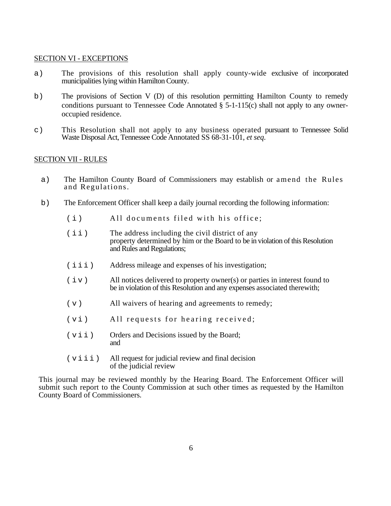#### SECTION VI - EXCEPTIONS

- a) The provisions of this resolution shall apply county-wide exclusive of incorporated municipalities lying within Hamilton County.
- b) The provisions of Section V (D) of this resolution permitting Hamilton County to remedy conditions pursuant to Tennessee Code Annotated § 5-1-115(c) shall not apply to any owner occupied residence.
- c) This Resolution shall not apply to any business operated pursuant to Tennessee Solid Waste Disposal Act, Tennessee Code Annotated SS 68-31-101, *et seq*.

#### SECTION VII - RULES

- a) The Hamilton County Board of Commissioners may establish or amend the Rules and Regulations.
- b) The Enforcement Officer shall keep a daily journal recording the following information:
	- (i) All documents filed with his office;
	- (ii) The address including the civil district of any property determined by him or the Board to be in violation of this Resolution and Rules and Regulations;
	- (iii) Address mileage and expenses of his investigation;
	- $(i \vee)$  All notices delivered to property owner(s) or parties in interest found to be in violation of this Resolution and any expenses associated therewith;
	- (v) All waivers of hearing and agreements to remedy;
	- (vi) All requests for hearing received;
	- (vii) Orders and Decisions issued by the Board; and
	- (viii) All request for judicial review and final decision of the judicial review

This journal may be reviewed monthly by the Hearing Board. The Enforcement Officer will submit such report to the County Commission at such other times as requested by the Hamilton County Board of Commissioners*.*